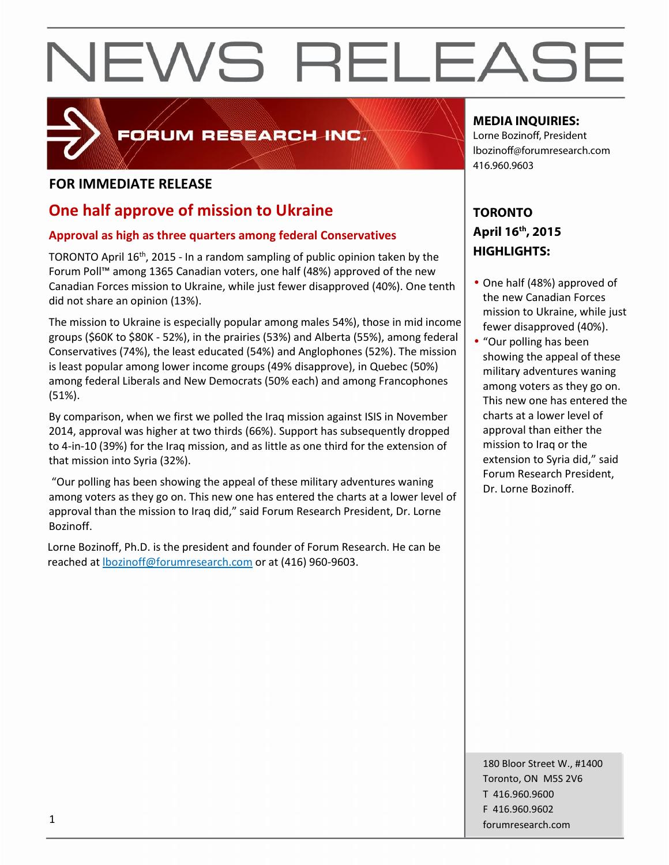

## FORUM RESEARCH INC.

### **FOR IMMEDIATE RELEASE**

### **One half approve of mission to Ukraine**

#### **Approval as high as three quarters among federal Conservatives**

TORONTO April 16<sup>th</sup>, 2015 - In a random sampling of public opinion taken by the  $\blacksquare$ Forum Poll™ among 1365 Canadian voters, one half (48%) approved of the new Canadian Forces mission to Ukraine, while just fewer disapproved (40%). One tenth did not share an opinion (13%).

The mission to Ukraine is especially popular among males 54%), those in mid income groups (\$60K to \$80K - 52%), in the prairies (53%) and Alberta (55%), among federal Conservatives (74%), the least educated (54%) and Anglophones (52%). The mission is least popular among lower income groups (49% disapprove), in Quebec (50%) among federal Liberals and New Democrats (50% each) and among Francophones (51%).

By comparison, when we first we polled the Iraq mission against ISIS in November 2014, approval was higher at two thirds (66%). Support has subsequently dropped to 4-in-10 (39%) for the Iraq mission, and as little as one third for the extension of that mission into Syria (32%).

"Our polling has been showing the appeal of these military adventures waning among voters as they go on. This new one has entered the charts at a lower level of approval than the mission to Iraq did," said Forum Research President, Dr. Lorne Bozinoff.

Lorne Bozinoff, Ph.D. is the president and founder of Forum Research. He can be reached at lbozinoff@forumresearch.com or at (416) 960-9603.

### **MEDIA INQUIRIES:**

Lorne Bozinoff, President lbozinoff@forumresearch.com 416.960.9603

### **TORONTO April 16th, 2015 HIGHLIGHTS:**

- One half (48%) approved of the new Canadian Forces mission to Ukraine, while just fewer disapproved (40%).
- "Our polling has been showing the appeal of these military adventures waning among voters as they go on. This new one has entered the charts at a lower level of approval than either the mission to Iraq or the extension to Syria did," said Forum Research President, Dr. Lorne Bozinoff.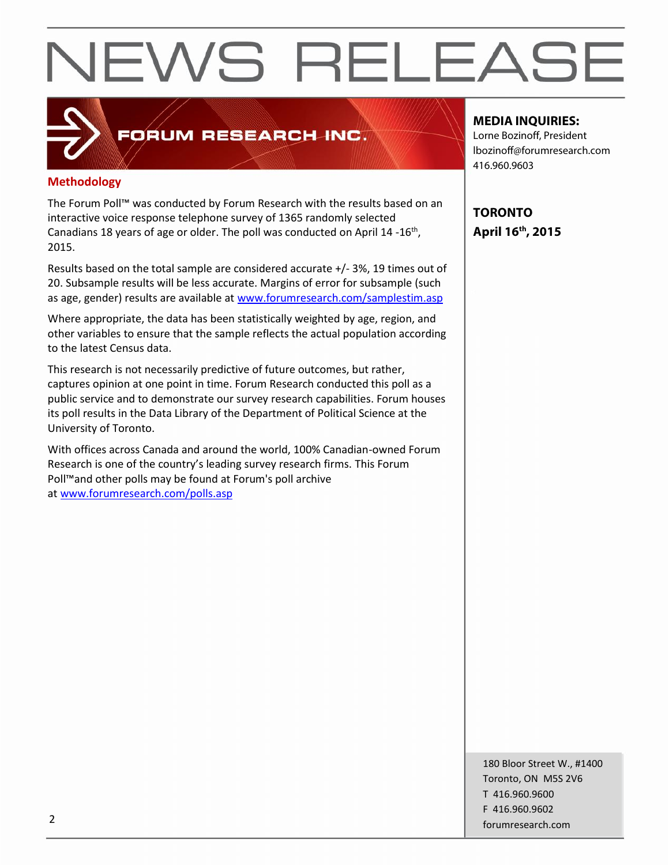#### **Methodology**

The Forum Poll™ was conducted by Forum Research with the results based on an interactive voice response telephone survey of 1365 randomly selected Canadians 18 years of age or older. The poll was conducted on April 14 -16<sup>th</sup>, 2015.

FORUM RESEARCH INC.

Results based on the total sample are considered accurate +/- 3%, 19 times out of 20. Subsample results will be less accurate. Margins of error for subsample (such as age, gender) results are available at www.forumresearch.com/samplestim.asp

Where appropriate, the data has been statistically weighted by age, region, and other variables to ensure that the sample reflects the actual population according to the latest Census data.

This research is not necessarily predictive of future outcomes, but rather, captures opinion at one point in time. Forum Research conducted this poll as a public service and to demonstrate our survey research capabilities. Forum houses its poll results in the Data Library of the Department of Political Science at the University of Toronto.

With offices across Canada and around the world, 100% Canadian-owned Forum Research is one of the country's leading survey research firms. This Forum Poll™and other polls may be found at Forum's poll archive at www.forumresearch.com/polls.asp

#### **MEDIA INQUIRIES:**

Lorne Bozinoff, President lbozinoff@forumresearch.com 416.960.9603

**TORONTO April 16th, 2015**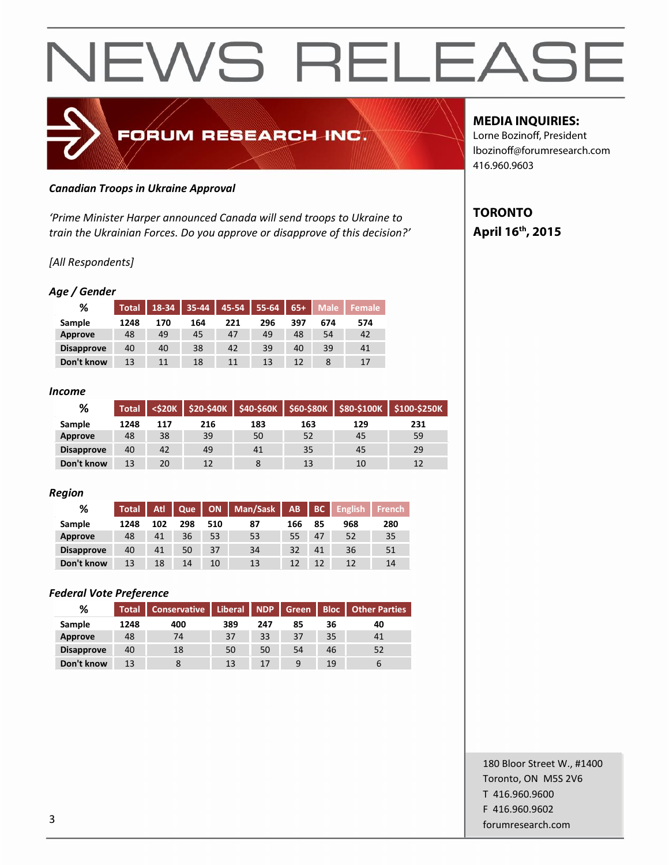## FORUM RESEARCH INC.

#### *Canadian Troops in Ukraine Approval*

*'Prime Minister Harper announced Canada will send troops to Ukraine to train the Ukrainian Forces. Do you approve or disapprove of this decision?'*

#### *[All Respondents]*

#### *Age / Gender*

| %                 | <b>Total</b> | 18-34 |     | $35-44$   45-54 | 55-64 | $65+$ | <b>Male</b> | <b>Female</b> |
|-------------------|--------------|-------|-----|-----------------|-------|-------|-------------|---------------|
| Sample            | 1248         | 170   | 164 | 221             | 296   | 397   | 674         | 574           |
| Approve           | 48           | 49    | 45  | 47              | 49    | 48    | 54          | 42            |
| <b>Disapprove</b> | 40           | 40    | 38  | 42              | 39    | 40    | 39          | 41            |
| Don't know        | 13           | 11    | 18  | 11              | 13    | 12    |             | 17            |

#### *Income*

| %                 | <b>Total</b> | <b><s20k< b=""></s20k<></b> | $\frac{1}{2}$ \$20-\$40K |     | \$40-\$60K S60-\$80K J | \$80-\$100K | <b>\$100-\$250K</b> |
|-------------------|--------------|-----------------------------|--------------------------|-----|------------------------|-------------|---------------------|
| Sample            | 1248         | 117                         | 216                      | 183 | 163                    | 129         | 231                 |
| Approve           | 48           | 38                          | 39                       | 50  | 52                     | 45          | 59                  |
| <b>Disapprove</b> | 40           | 42                          | 49                       | 41  | 35                     | 45          | 29                  |
| Don't know        | 13           | 20                          | 12                       |     | 13                     | 10          |                     |

#### *Region*

| %                 | <b>Total</b> | Atl | $\vert$ Que $\vert$ |     | ON   Man/Sask | AB  | BC | <b>English</b> | <b>French</b> |
|-------------------|--------------|-----|---------------------|-----|---------------|-----|----|----------------|---------------|
| Sample            | 1248         | 102 | 298                 | 510 | 87            | 166 | 85 | 968            | 280           |
| Approve           | 48           | 41  | 36                  | 53  | 53            | 55  | 47 | 52             | 35            |
| <b>Disapprove</b> | 40           | 41  | 50                  | 37  | 34            | 32  | 41 | 36             | 51            |
| Don't know        | 13           | 18  | 14                  | 10  | 13            | 12  | 12 |                | 14            |

#### *Federal Vote Preference*

| %                 | <b>Total</b> | <b>Conservative</b> |     | Liberal NDP |    | Green | <b>Bloc   Other Parties</b> |  |
|-------------------|--------------|---------------------|-----|-------------|----|-------|-----------------------------|--|
| Sample            | 1248         | 400                 | 389 | 247         | 85 | 36    | 40                          |  |
| Approve           | 48           | 74                  | 37  | 33          | 37 | 35    | 41                          |  |
| <b>Disapprove</b> | 40           | 18                  | 50  | 50          | 54 | 46    | 52                          |  |
| Don't know        | 13           |                     | 13  | 17          | 9  | 19    | $\mathbf b$                 |  |

#### **MEDIA INQUIRIES:**

Lorne Bozinoff, President lbozinoff@forumresearch.com 416.960.9603

### **TORONTO April 16th, 2015**